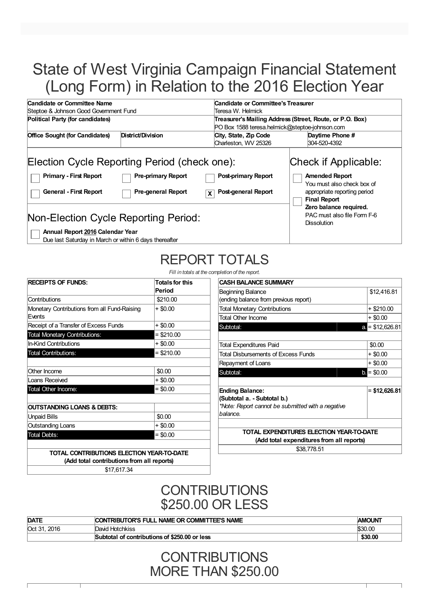# State of West Virginia Campaign Financial Statement (Long Form) in Relation to the 2016 Election Year

| Candidate or Committee Name                                                                                    |                                                        |                                                                       | Candidate or Committee's Treasurer                                                                                                                           |  |  |  |  |
|----------------------------------------------------------------------------------------------------------------|--------------------------------------------------------|-----------------------------------------------------------------------|--------------------------------------------------------------------------------------------------------------------------------------------------------------|--|--|--|--|
| Steptoe & Johnson Good Government Fund                                                                         |                                                        | Teresa W. Helmick                                                     |                                                                                                                                                              |  |  |  |  |
| Political Party (for candidates)                                                                               |                                                        |                                                                       | Treasurer's Mailing Address (Street, Route, or P.O. Box)                                                                                                     |  |  |  |  |
|                                                                                                                |                                                        | PO Box 1588 teresa.helmick@steptoe-johnson.com                        |                                                                                                                                                              |  |  |  |  |
| <b>Office Sought (for Candidates)</b>                                                                          | District/Division                                      | City, State, Zip Code                                                 | Daytime Phone #                                                                                                                                              |  |  |  |  |
|                                                                                                                |                                                        | Charleston, WV 25326                                                  | 304-520-4392                                                                                                                                                 |  |  |  |  |
| Election Cycle Reporting Period (check one):<br><b>Primary - First Report</b><br><b>General - First Report</b> | <b>Pre-primary Report</b><br><b>Pre-general Report</b> | <b>Post-primary Report</b><br>Post-general Report<br>$\boldsymbol{x}$ | Check if Applicable:<br><b>Amended Report</b><br>You must also check box of<br>appropriate reporting period<br><b>Final Report</b><br>Zero balance required. |  |  |  |  |
| Non-Election Cycle Reporting Period:<br>Annual Report 2016 Calendar Year                                       | PAC must also file Form F-6<br><b>Dissolution</b>      |                                                                       |                                                                                                                                                              |  |  |  |  |

Due last Saturday in March or within 6 days thereafter

# REPORT TOTALS

*Fill in totals at the completion of the report.*

| <b>RECEIPTS OF FUNDS:</b>                              | <b>Totals for this</b><br>Period |
|--------------------------------------------------------|----------------------------------|
| Contributions                                          | \$210.00                         |
| Monetary Contributions from all Fund-Raising<br>Events | $+$ \$0.00                       |
| Receipt of a Transfer of Excess Funds                  | + \$0.00                         |
| <b>Total Monetary Contributions:</b>                   | $=$ \$210.00                     |
| In-Kind Contributions                                  | $+$ \$0.00                       |
| <b>Total Contributions:</b>                            | $=$ \$210.00                     |
| Other Income                                           | \$0.00                           |
| Loans Received                                         | + \$0.00                         |
| Total Other Income:                                    | $=$ \$0.00                       |
| <b>OUTSTANDING LOANS &amp; DEBTS:</b>                  |                                  |
| Unpaid Bills                                           | \$0.00                           |
| <b>Outstanding Loans</b>                               | $+$ \$0.00                       |
| <b>Total Debts:</b>                                    | $=$ \$0.00                       |

| <b>CASH BALANCE SUMMARY</b>                       |                  |  |  |  |
|---------------------------------------------------|------------------|--|--|--|
| Beginning Balance                                 | \$12,416.81      |  |  |  |
| (ending balance from previous report)             |                  |  |  |  |
| <b>Total Monetary Contributions</b>               | + \$210.00       |  |  |  |
| <b>Total Other Income</b>                         | + \$0.00         |  |  |  |
| Subtotal:                                         | $a = $12,626.81$ |  |  |  |
|                                                   |                  |  |  |  |
| Total Expenditures Paid                           | \$0.00           |  |  |  |
| <b>Total Disbursements of Excess Funds</b>        | $+$ \$0.00       |  |  |  |
| Repayment of Loans                                | + \$0.00         |  |  |  |
| Subtotal:                                         | $b = $0.00$      |  |  |  |
|                                                   |                  |  |  |  |
| <b>Ending Balance:</b>                            | $=$ \$12,626.81  |  |  |  |
| (Subtotal a. - Subtotal b.)                       |                  |  |  |  |
| *Note: Report cannot be submitted with a negative |                  |  |  |  |
| balance.                                          |                  |  |  |  |
|                                                   |                  |  |  |  |
| TOTAL EXPENDITURES ELECTION YEAR-TO-DATE          |                  |  |  |  |
| (Add total expenditures from all reports)         |                  |  |  |  |
| \$38,778,51                                       |                  |  |  |  |
|                                                   |                  |  |  |  |

**(Add total contributions from all reports)** \$17,617.34

### **CONTRIBUTIONS** \$250.00 OR LESS

| <b>DATE</b>    | <b>CONTRIBUTOR'S FULL NAME OR COMMITTEE'S NAME</b> | <b>AMOUNT</b>  |
|----------------|----------------------------------------------------|----------------|
| 2016<br>Oct 31 | David Hotchkiss                                    | <b>\$30.00</b> |
|                | Subtotal of contributions of \$250.00 or less      | \$30.00        |

**CONTRIBUTIONS** MORE THAN \$250.00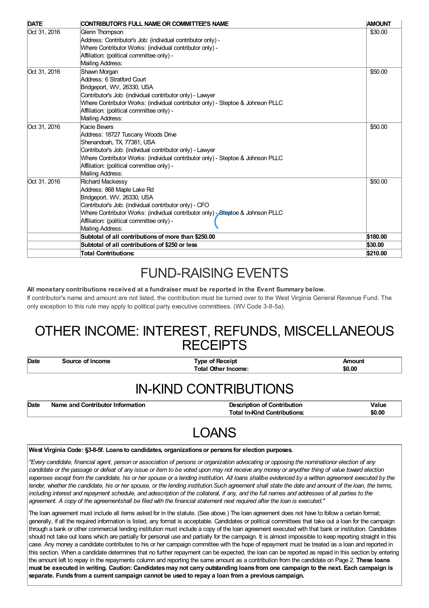| <b>DATE</b>  | CONTRIBUTOR'S FULL NAME OR COMMITTEE'S NAME                                     | <b>AMOUNT</b> |
|--------------|---------------------------------------------------------------------------------|---------------|
| Oct 31, 2016 | Glenn Thompson                                                                  | \$30.00       |
|              | Address: Contributor's Job: (individual contributor only) -                     |               |
|              | Where Contributor Works: (individual contributor only) -                        |               |
|              | Affiliation: (political committee only) -                                       |               |
|              | Mailing Address:                                                                |               |
| Oct 31, 2016 | Shawn Morgan                                                                    | \$50.00       |
|              | Address: 6 Stratford Court                                                      |               |
|              | Bridgeport, WV, 26330, USA                                                      |               |
|              | Contributor's Job: (individual contributor only) - Lawyer                       |               |
|              | Where Contributor Works: (individual contributor only) - Steptoe & Johnson PLLC |               |
|              | Affiliation: (political committee only) -                                       |               |
|              | Mailing Address:                                                                |               |
| Oct 31, 2016 | Kacie Bevers                                                                    | \$50.00       |
|              | Address: 18727 Tuscany Woods Drive                                              |               |
|              | Shenandoah, TX 77381, USA                                                       |               |
|              | Contributor's Job: (individual contributor only) - Lawyer                       |               |
|              | Where Contributor Works: (individual contributor only) - Steptoe & Johnson PLLC |               |
|              | Affiliation: (political committee only) -                                       |               |
|              | Mailing Address:                                                                |               |
| Oct 31, 2016 | Richard Mackessy                                                                | \$50.00       |
|              | Address: 868 Maple Lake Rd                                                      |               |
|              | Bridgeport, WV, 26330, USA                                                      |               |
|              | Contributor's Job: (individual contributor only) - CFO                          |               |
|              | Where Contributor Works: (individual contributor only) Steptoe & Johnson PLLC   |               |
|              | Affiliation: (political committee only) -                                       |               |
|              | Mailing Address:                                                                |               |
|              | Subtotal of all contributions of more than \$250.00                             | \$180.00      |
|              | Subtotal of all contributions of \$250 or less                                  | \$30.00       |
|              | <b>Total Contributions:</b>                                                     | \$210.00      |

### FUND-RAISING EVENTS

#### **All monetary contributions received at a fundraiser must be reported in the Event Summary below.**

If contributor's name and amount are not listed, the contribution must be turned over to the West Virginia General Revenue Fund. The only exception to this rule may apply to political party executive committees. (WV Code 3-8-5a).

### OTHER INCOME: INTEREST, REFUNDS, MISCELLANEOUS **RECEIPTS**

**Date Source of Income Type of Receipt Amount Total Other Income: \$0.00**

### IN-KIND CONTRIBUTIONS

| Date | Name and Contributor Information | <b>Description of Contribution</b>  | Value  |
|------|----------------------------------|-------------------------------------|--------|
|      |                                  | <b>Total In-Kind Contributions:</b> | \$0.00 |

## LOANS

#### **West Virginia Code: §3-8-5f. Loans to candidates, organizationsor persons for election purposes.**

"Every candidate, financial agent, person or association of persons or organization advocating or opposing the nominationor election of any candidate or the passage or defeat of any issue or item to be voted upon may not receive any money or anyother thing of value toward election expenses except from the candidate, his or her spouse or a lending institution. All loans shallbe evidenced by a written agreement executed by the lender, whether the candidate, his or her spouse, or the lending institution. Such agreement shall state the date and amount of the loan, the terms, including interest and repayment schedule, and adescription of the collateral, if any, and the full names and addresses of all parties to the agreement. A copy of the agreementshall be filed with the financial statement next required after the loan is executed."

The loan agreement must include all items asked for in the statute. (See above.) The loan agreement does not have to follow a certain format; generally, if all the required information is listed, any format is acceptable. Candidates or political committees that take out a loan for the campaign through a bank or other commercial lending institution must include a copy of the loan agreement executed with that bank or institution. Candidates should not take out loans which are partially for personal use and partially for the campaign. It is almost impossible to keep reporting straight in this case. Any money a candidate contributes to his or her campaign committee with the hope of repayment must be treated as a loan and reported in this section. When a candidate determines that no further repayment can be expected, the loan can be reported as repaid in this section by entering the amount left to repay in the repayments column and reporting the same amount as a contribution from the candidate on Page 2. **These loans** must be executed in writing. Caution: Candidates may not carry outstanding loans from one campaign to the next. Each campaign is **separate. Funds from a current campaign cannot be used to repay a loan from a previous campaign.**